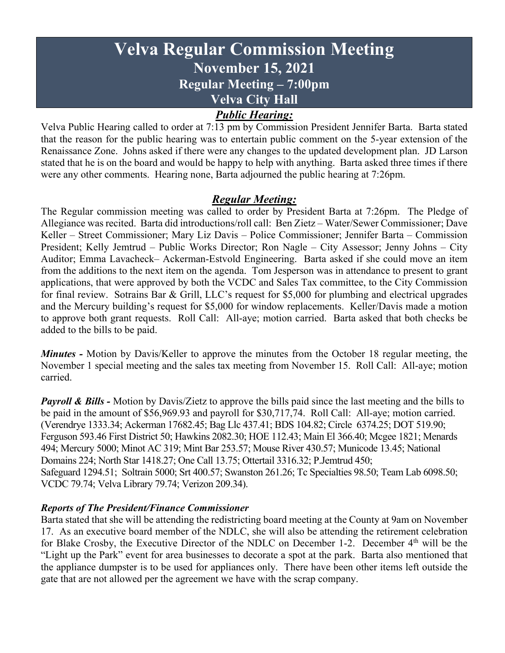# **Velva Regular Commission Meeting November 15, 2021 Regular Meeting – 7:00pm Velva City Hall**

## *Public Hearing:*

Velva Public Hearing called to order at 7:13 pm by Commission President Jennifer Barta. Barta stated that the reason for the public hearing was to entertain public comment on the 5-year extension of the Renaissance Zone. Johns asked if there were any changes to the updated development plan. JD Larson stated that he is on the board and would be happy to help with anything. Barta asked three times if there were any other comments. Hearing none, Barta adjourned the public hearing at 7:26pm.

## *Regular Meeting:*

The Regular commission meeting was called to order by President Barta at 7:26pm. The Pledge of Allegiance was recited. Barta did introductions/roll call: Ben Zietz – Water/Sewer Commissioner; Dave Keller – Street Commissioner; Mary Liz Davis – Police Commissioner; Jennifer Barta – Commission President; Kelly Jemtrud – Public Works Director; Ron Nagle – City Assessor; Jenny Johns – City Auditor; Emma Lavacheck– Ackerman-Estvold Engineering. Barta asked if she could move an item from the additions to the next item on the agenda. Tom Jesperson was in attendance to present to grant applications, that were approved by both the VCDC and Sales Tax committee, to the City Commission for final review. Sotrains Bar & Grill, LLC's request for \$5,000 for plumbing and electrical upgrades and the Mercury building's request for \$5,000 for window replacements. Keller/Davis made a motion to approve both grant requests. Roll Call: All-aye; motion carried. Barta asked that both checks be added to the bills to be paid.

*Minutes -* Motion by Davis/Keller to approve the minutes from the October 18 regular meeting, the November 1 special meeting and the sales tax meeting from November 15. Roll Call: All-aye; motion carried.

*Payroll & Bills* - Motion by Davis/Zietz to approve the bills paid since the last meeting and the bills to be paid in the amount of \$56,969.93 and payroll for \$30,717,74. Roll Call: All-aye; motion carried. (Verendrye 1333.34; Ackerman 17682.45; Bag Llc 437.41; BDS 104.82; Circle 6374.25; DOT 519.90; Ferguson 593.46 First District 50; Hawkins 2082.30; HOE 112.43; Main El 366.40; Mcgee 1821; Menards 494; Mercury 5000; Minot AC 319; Mint Bar 253.57; Mouse River 430.57; Municode 13.45; National Domains 224; North Star 1418.27; One Call 13.75; Ottertail 3316.32; P.Jemtrud 450; Safeguard 1294.51; Soltrain 5000; Srt 400.57; Swanston 261.26; Tc Specialties 98.50; Team Lab 6098.50; VCDC 79.74; Velva Library 79.74; Verizon 209.34).

#### *Reports of The President/Finance Commissioner*

Barta stated that she will be attending the redistricting board meeting at the County at 9am on November 17. As an executive board member of the NDLC, she will also be attending the retirement celebration for Blake Crosby, the Executive Director of the NDLC on December 1-2. December 4<sup>th</sup> will be the "Light up the Park" event for area businesses to decorate a spot at the park. Barta also mentioned that the appliance dumpster is to be used for appliances only. There have been other items left outside the gate that are not allowed per the agreement we have with the scrap company.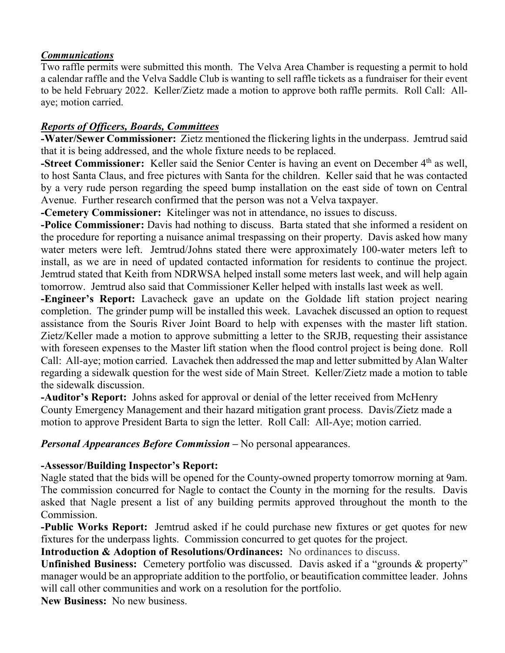#### *Communications*

Two raffle permits were submitted this month. The Velva Area Chamber is requesting a permit to hold a calendar raffle and the Velva Saddle Club is wanting to sell raffle tickets as a fundraiser for their event to be held February 2022. Keller/Zietz made a motion to approve both raffle permits. Roll Call: Allaye; motion carried.

#### *Reports of Officers, Boards, Committees*

*-***Water/Sewer Commissioner:** Zietz mentioned the flickering lights in the underpass. Jemtrud said that it is being addressed, and the whole fixture needs to be replaced.

**-Street Commissioner:** Keller said the Senior Center is having an event on December 4<sup>th</sup> as well, to host Santa Claus, and free pictures with Santa for the children. Keller said that he was contacted by a very rude person regarding the speed bump installation on the east side of town on Central Avenue. Further research confirmed that the person was not a Velva taxpayer.

**-Cemetery Commissioner:** Kitelinger was not in attendance, no issues to discuss.

**-Police Commissioner:** Davis had nothing to discuss. Barta stated that she informed a resident on the procedure for reporting a nuisance animal trespassing on their property. Davis asked how many water meters were left. Jemtrud/Johns stated there were approximately 100-water meters left to install, as we are in need of updated contacted information for residents to continue the project. Jemtrud stated that Keith from NDRWSA helped install some meters last week, and will help again tomorrow. Jemtrud also said that Commissioner Keller helped with installs last week as well.

**-Engineer's Report:** Lavacheck gave an update on the Goldade lift station project nearing completion. The grinder pump will be installed this week. Lavachek discussed an option to request assistance from the Souris River Joint Board to help with expenses with the master lift station. Zietz/Keller made a motion to approve submitting a letter to the SRJB, requesting their assistance with foreseen expenses to the Master lift station when the flood control project is being done. Roll Call: All-aye; motion carried. Lavachek then addressed the map and letter submitted by Alan Walter regarding a sidewalk question for the west side of Main Street. Keller/Zietz made a motion to table the sidewalk discussion.

**-Auditor's Report:** Johns asked for approval or denial of the letter received from McHenry County Emergency Management and their hazard mitigation grant process. Davis/Zietz made a motion to approve President Barta to sign the letter. Roll Call: All-Aye; motion carried.

*Personal Appearances Before Commission –* No personal appearances.

### **-Assessor/Building Inspector's Report:**

Nagle stated that the bids will be opened for the County-owned property tomorrow morning at 9am. The commission concurred for Nagle to contact the County in the morning for the results. Davis asked that Nagle present a list of any building permits approved throughout the month to the Commission.

**-Public Works Report:** Jemtrud asked if he could purchase new fixtures or get quotes for new fixtures for the underpass lights. Commission concurred to get quotes for the project.

**Introduction & Adoption of Resolutions/Ordinances:** No ordinances to discuss.

**Unfinished Business:** Cemetery portfolio was discussed. Davis asked if a "grounds & property" manager would be an appropriate addition to the portfolio, or beautification committee leader. Johns will call other communities and work on a resolution for the portfolio.

**New Business:** No new business.